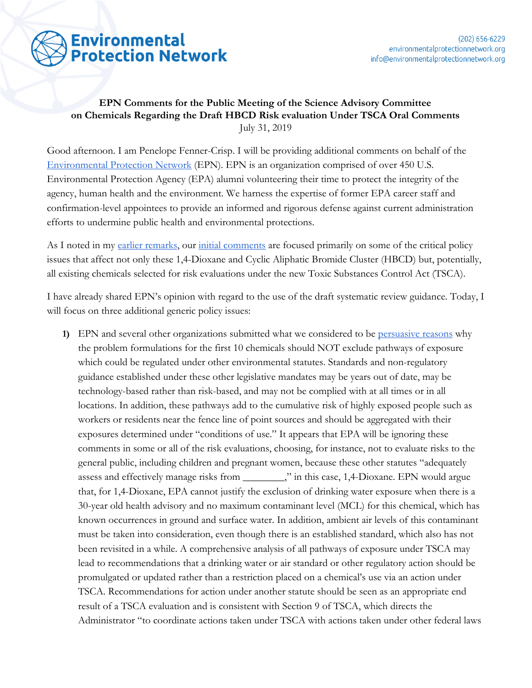

## **EPN Comments for the Public Meeting of the Science Advisory Committee on Chemicals Regarding the Draft HBCD Risk evaluation Under TSCA Oral Comments** July 31, 2019

Good afternoon. I am Penelope Fenner-Crisp. I will be providing additional comments on behalf of the [Environmental Protection Network](https://www.environmentalprotectionnetwork.org/) (EPN). EPN is an organization comprised of over 450 U.S. Environmental Protection Agency (EPA) alumni volunteering their time to protect the integrity of the agency, human health and the environment. We harness the expertise of former EPA career staff and confirmation-level appointees to provide an informed and rigorous defense against current administration efforts to undermine public health and environmental protections.

As I noted in my [earlier remarks](https://www.environmentalprotectionnetwork.org/wp-content/uploads/2019/07/v.1-14-Dioxane-oral-comments.docx.pdf), our [initial comments](https://www.environmentalprotectionnetwork.org/hbcd-and-dioxane-tsca-risk-evals/) are focused primarily on some of the critical policy issues that affect not only these 1,4-Dioxane and Cyclic Aliphatic Bromide Cluster (HBCD) but, potentially, all existing chemicals selected for risk evaluations under the new Toxic Substances Control Act (TSCA).

I have already shared EPN's opinion with regard to the use of the draft systematic review guidance. Today, I will focus on three additional generic policy issues:

**1)** EPN and several other organizations submitted what we considered to be [persuasive reasons](https://www.environmentalprotectionnetwork.org/epn-comments-on-draft-formulations-describing-how-epa-will-conduct-risk-evaluations-of-three-toxic-substances/) why the problem formulations for the first 10 chemicals should NOT exclude pathways of exposure which could be regulated under other environmental statutes. Standards and non-regulatory guidance established under these other legislative mandates may be years out of date, may be technology-based rather than risk-based, and may not be complied with at all times or in all locations. In addition, these pathways add to the cumulative risk of highly exposed people such as workers or residents near the fence line of point sources and should be aggregated with their exposures determined under "conditions of use." It appears that EPA will be ignoring these comments in some or all of the risk evaluations, choosing, for instance, not to evaluate risks to the general public, including children and pregnant women, because these other statutes "adequately assess and effectively manage risks from \_\_\_\_\_\_\_\_," in this case, 1,4-Dioxane. EPN would argue that, for 1,4-Dioxane, EPA cannot justify the exclusion of drinking water exposure when there is a 30-year old health advisory and no maximum contaminant level (MCL) for this chemical, which has known occurrences in ground and surface water. In addition, ambient air levels of this contaminant must be taken into consideration, even though there is an established standard, which also has not been revisited in a while. A comprehensive analysis of all pathways of exposure under TSCA may lead to recommendations that a drinking water or air standard or other regulatory action should be promulgated or updated rather than a restriction placed on a chemical's use via an action under TSCA. Recommendations for action under another statute should be seen as an appropriate end result of a TSCA evaluation and is consistent with Section 9 of TSCA, which directs the Administrator "to coordinate actions taken under TSCA with actions taken under other federal laws